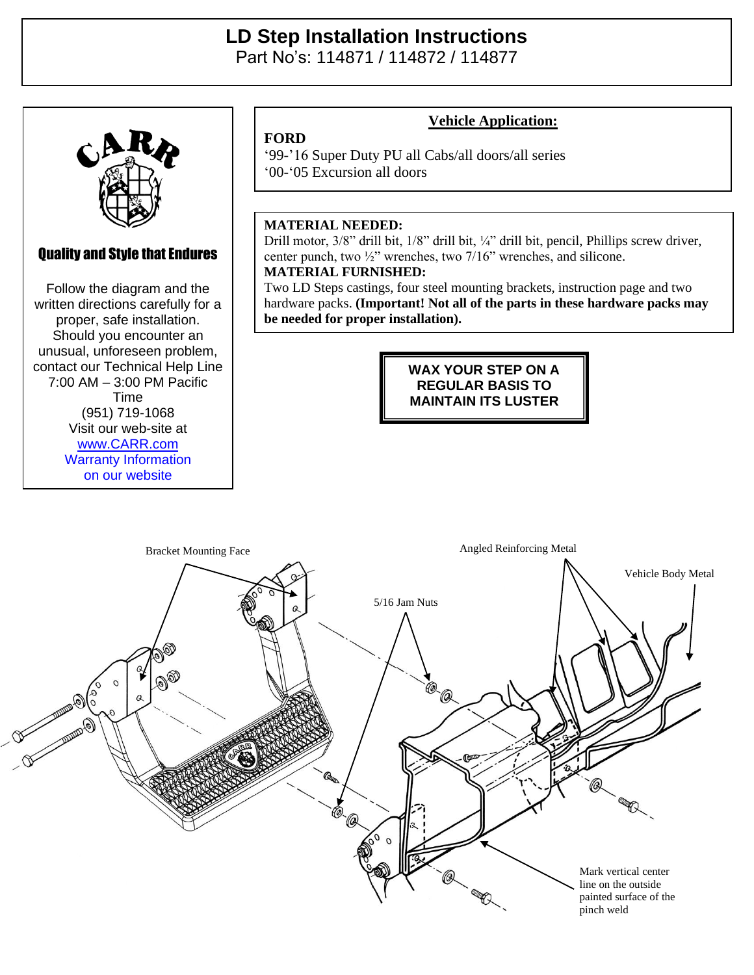## **LD Step Installation Instructions**  Part No's: 114871 / 114872 / 114877



Quality and Style that Endures Follow the diagram and the Follow the diagram and the written directions carefully for a written directions carefully for a proper, safe installation. proper, safe installation. Should you encounter an Should you encounter an unusual, unforeseen problem, unusual, unforeseen problem, contact our Technical Help Line contact our Technical Help Line  $100 \text{ AM} = 3:00 \text{ DM} \text{ Den}$  $(7:00 \text{ AM} - 3:00 \text{ PM} \text{ Pacific})$  $V = 10111$ (951) 719-1068 Visit our web-site at Time [www.CARR.com](http://www.carr.com/) Warranty Information on our website

Carr Pattern Co., Inc.

## **Vehicle Application:**

'99-'16 Super Duty PU all Cabs/all doors/all series '00-'05 Excursion all doors

## **MATERIAL NEEDED:**

**FORD**

Drill motor, 3/8" drill bit, 1/8" drill bit, ¼" drill bit, pencil, Phillips screw driver, center punch, two ½" wrenches, two 7/16" wrenches, and silicone. **MATERIAL FURNISHED:**

Two LD Steps castings, four steel mounting brackets, instruction page and two hardware packs. **(Important! Not all of the parts in these hardware packs may be needed for proper installation).**